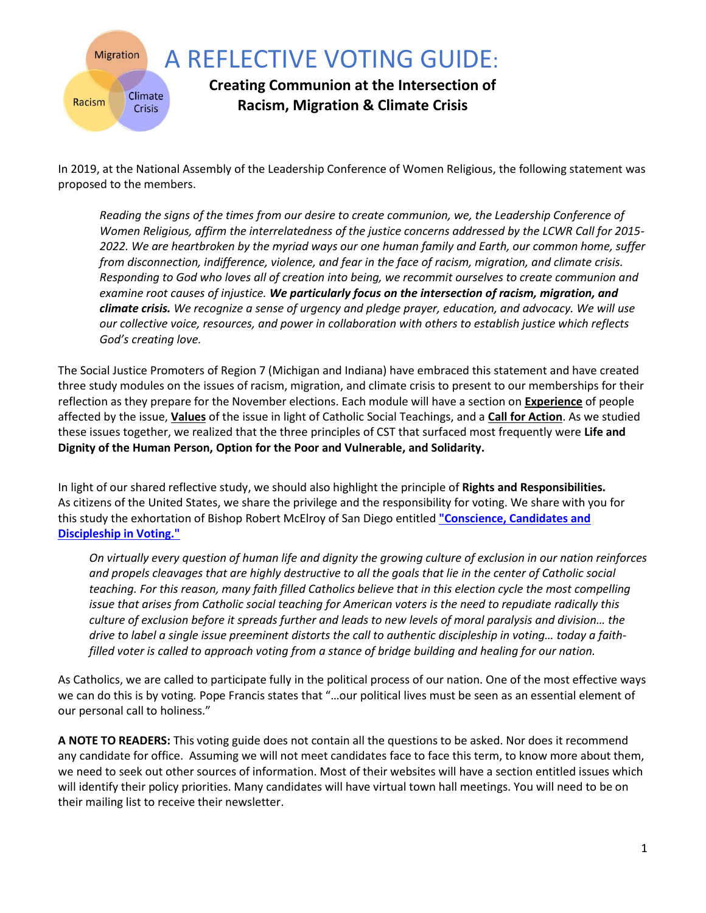

In 2019, at the National Assembly of the Leadership Conference of Women Religious, the following statement was proposed to the members.

*Reading the signs of the times from our desire to create communion, we, the Leadership Conference of Women Religious, affirm the interrelatedness of the justice concerns addressed by the LCWR Call for 2015- 2022. We are heartbroken by the myriad ways our one human family and Earth, our common home, suffer from disconnection, indifference, violence, and fear in the face of racism, migration, and climate crisis. Responding to God who loves all of creation into being, we recommit ourselves to create communion and examine root causes of injustice. We particularly focus on the intersection of racism, migration, and climate crisis. We recognize a sense of urgency and pledge prayer, education, and advocacy. We will use our collective voice, resources, and power in collaboration with others to establish justice which reflects God's creating love.* 

The Social Justice Promoters of Region 7 (Michigan and Indiana) have embraced this statement and have created three study modules on the issues of racism, migration, and climate crisis to present to our memberships for their reflection as they prepare for the November elections. Each module will have a section on **Experience** of people affected by the issue, **Values** of the issue in light of Catholic Social Teachings, and a **Call for Action**. As we studied these issues together, we realized that the three principles of CST that surfaced most frequently were **Life and Dignity of the Human Person, Option for the Poor and Vulnerable, and Solidarity.**

In light of our shared reflective study, we should also highlight the principle of **Rights and Responsibilities.**  As citizens of the United States, we share the privilege and the responsibility for voting. We share with you for this study the exhortation of Bishop Robert McElroy of San Diego entitled **["Conscience, Candidates and](https://www.sdcatholic.org/bishops/bishop-mcelroy/conscience-candidates-and-discipleship-in-voting/)  [Discipleship in Voting."](https://www.sdcatholic.org/bishops/bishop-mcelroy/conscience-candidates-and-discipleship-in-voting/)**

*On virtually every question of human life and dignity the growing culture of exclusion in our nation reinforces and propels cleavages that are highly destructive to all the goals that lie in the center of Catholic social teaching. For this reason, many faith filled Catholics believe that in this election cycle the most compelling issue that arises from Catholic social teaching for American voters is the need to repudiate radically this culture of exclusion before it spreads further and leads to new levels of moral paralysis and division… the drive to label a single issue preeminent distorts the call to authentic discipleship in voting… today a faithfilled voter is called to approach voting from a stance of bridge building and healing for our nation.*

As Catholics, we are called to participate fully in the political process of our nation. One of the most effective ways we can do this is by voting*.* Pope Francis states that "…our political lives must be seen as an essential element of our personal call to holiness."

**A NOTE TO READERS:** This voting guide does not contain all the questions to be asked. Nor does it recommend any candidate for office. Assuming we will not meet candidates face to face this term, to know more about them, we need to seek out other sources of information. Most of their websites will have a section entitled issues which will identify their policy priorities. Many candidates will have virtual town hall meetings. You will need to be on their mailing list to receive their newsletter.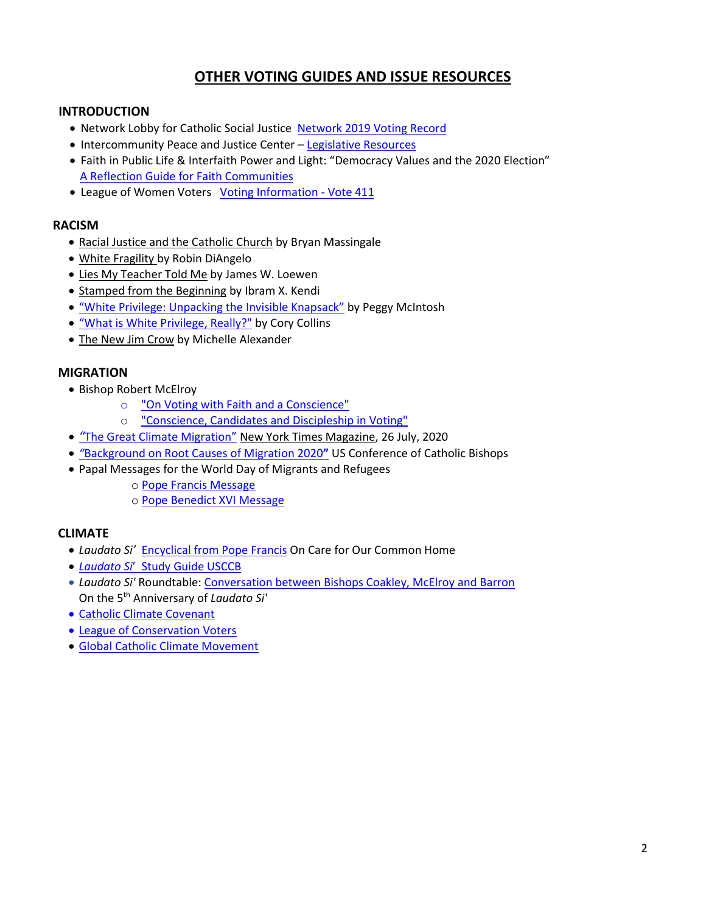## **OTHER VOTING GUIDES AND ISSUE RESOURCES**

### **INTRODUCTION**

- Network Lobby for Catholic Social Justice [Network 2019 Voting Record](https://networklobby.org/wp-content/uploads/2020/01/2019NETWORKVoting-Record.pdf)
- Intercommunity Peace and Justice Center [Legislative Resources](https://www.ipjc.org/legislative-resources/)
- Faith in Public Life & Interfaith Power and Light: "Democracy Values and the 2020 Election" [A Reflection Guide for Faith Communities](https://drive.google.com/file/d/1G7whUq0DFVT_6r9TuRTUjqnkqy_-F41y/view)
- League of Women Voters [Voting Information -](http://www.vote411.org/) Vote 411

### **RACISM**

- Racial Justice and the Catholic Church by Bryan Massingale
- White Fragility by Robin DiAngelo
- Lies My Teacher Told Me by James W. Loewen
- Stamped from the Beginning by Ibram X. Kendi
- ["White Privilege: Unpacking the Invisible Knapsack"](https://www.racialequitytools.org/resourcefiles/mcintosh.pdf) by Peggy McIntosh
- "[What is White Privilege, Really?"](https://www.tolerance.org/magazine/fall-2018/what-is-white-privilege-really) by Cory Collins
- The New Jim Crow by Michelle Alexander

### **MIGRATION**

- Bishop Robert McElroy
	- o ["On Voting with Faith and a Conscience"](https://www.ncronline.org/print/news/opinion/bishop-mcelroy-voting-faith-and-conscience)
	- o ["Conscience, Candidates and Discipleship in Voting"](https://www.sdcatholic.org/bishops/bishop-mcelroy/conscience-candidates-and-discipleship-in-voting/)
- *"*[The Great Climate Migration](https://www.nytimes.com/interactive/2020/07/23/magazine/climate-migration.html?action=click&algo=als_engaged_control_desk_filter&block=editors_picks_recirc&fellback=false&imp_id=249275371&impression_id=92a889a0-cf7a-11ea-b237-43db8639fac8&index=0&pgtype=Article®ion=footer&req_id=503689006&surface=home-featured)["](https://www.nytimes.com/interactive/2020/07/23/magazine/climate-migration.html?action=click&algo=als_engaged_control_desk_filter&block=editors_picks_recirc&fellback=false&imp_id=249275371&impression_id=92a889a0-cf7a-11ea-b237-43db8639fac8&index=0&pgtype=Article®ion=footer&req_id=503689006&surface=home-featured) New York Times Magazine, 26 July, 2020
- *"*[Background on Root Causes of Migration 2020](http://www.usccb.org/_cs_upload/issues-and-action/human-life-and-dignity/global-issues/294149_1.pdf)**"** US Conference of Catholic Bishops
- Papal Messages for the World Day of Migrants and Refugees
	- o [Pope Francis Message](http://w2.vatican.va/content/francesco/en/messages/migration.index.html)
	- o [Pope Benedict XVI Message](http://w2.vatican.va/content/benedict-xvi/en/messages/migration.index.html)

### **CLIMATE**

- *Laudato Si'* [Encyclical from Pope Francis](http://w2.vatican.va/content/francesco/en/encyclicals/documents/papa-francesco_20150524_enciclica-laudato-si.html) On Care for Our Common Home
- *Laudato Si*' [Study Guide USCCB](http://www.usccb.org/issues-and-action/human-life-and-dignity/environment/upload/laudato-si-discussion-guide.pdf)
- *Laudato Si'* Roundtable: [Conversation between Bishops Coakley, McElroy and Barron](http://www.usccb.org/issues-and-action/human-life-and-dignity/environment/index.cfm)  On the 5th Anniversary of *Laudato Si'*
- [Catholic Climate Covenant](https://catholicclimatecovenant.org/)
- [League of Conservation Voters](https://www.lcv.org/)
- [Global Catholic Climate Movement](https://catholicclimatemovement.global/)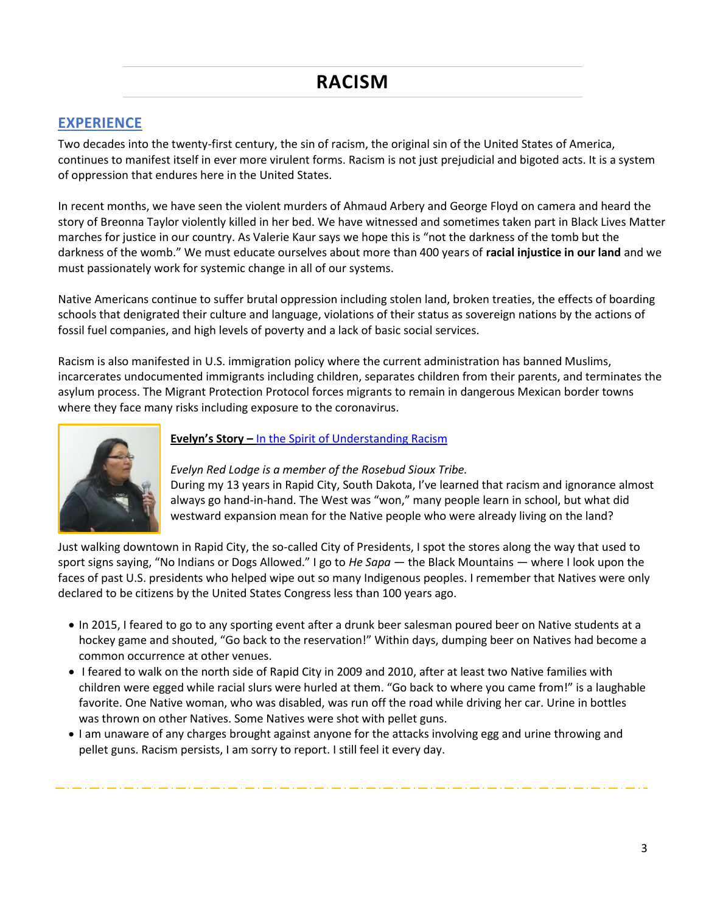# **RACISM**

## **EXPERIENCE**

Two decades into the twenty-first century, the sin of racism, the original sin of the United States of America, continues to manifest itself in ever more virulent forms. Racism is not just prejudicial and bigoted acts. It is a system of oppression that endures here in the United States.

In recent months, we have seen the violent murders of Ahmaud Arbery and George Floyd on camera and heard the story of Breonna Taylor violently killed in her bed. We have witnessed and sometimes taken part in Black Lives Matter marches for justice in our country. As Valerie Kaur says we hope this is "not the darkness of the tomb but the darkness of the womb." We must educate ourselves about more than 400 years of **[racial injustice in our land](https://networkadvocates.org/wp-content/uploads/sites/2/2019/01/RacialWealthandIncomeGap12PoliciesHandout2019.pdf)** and we must passionately work for systemic change in all of our systems.

Native Americans [continue to suffer brutal oppression](https://networkadvocates.org/recommittoracialjustice/legacy/) including stolen land, broken treaties, the effects of boarding schools that denigrated their culture and language, violations of their status as sovereign nations by the actions of fossil fuel companies, and high levels of poverty and a lack of basic social services.

Racism is also manifested in U.S. immigration policy where the current administration has banned Muslims, incarcerates undocumented immigrants including children, separates children from their parents, and terminates the asylum process. The Migrant Protection Protocol forces migrants to remain in dangerous Mexican border towns where they face many risks including exposure to the coronavirus.



### **Evelyn's Story –** [In the Spirit of Understanding Racism](https://www.eastoregonian.com/opinion/columnists/in-the-spirit-of-understanding-racism/article_3799d047-4986-5f9b-ad60-b21e75f94b46.html)

*Evelyn Red Lodge is a member of the Rosebud Sioux Tribe.*

During my 13 years in Rapid City, South Dakota, I've learned that racism and ignorance almost always go hand-in-hand. The West was "won," many people learn in school, but what did westward expansion mean for the Native people who were already living on the land?

Just walking downtown in Rapid City, the so-called City of Presidents, I spot the stores along the way that used to sport signs saying, "No Indians or Dogs Allowed." I go to *He Sapa* — the Black Mountains — where I look upon the faces of past U.S. presidents who helped wipe out so many Indigenous peoples. I remember that Natives were only declared to be citizens by the United States Congress less than 100 years ago.

- In 2015, I feared to go to any sporting event after a drunk beer salesman poured beer on Native students at a hockey game and shouted, "Go back to the reservation!" Within days, dumping beer on Natives had become a common occurrence at other venues.
- I feared to walk on the north side of Rapid City in 2009 and 2010, after at least two Native families with children were egged while racial slurs were hurled at them. "Go back to where you came from!" is a laughable favorite. One Native woman, who was disabled, was run off the road while driving her car. Urine in bottles was thrown on other Natives. Some Natives were shot with pellet guns.
- I am unaware of any charges brought against anyone for the attacks involving egg and urine throwing and pellet guns. Racism persists, I am sorry to report. I still feel it every day.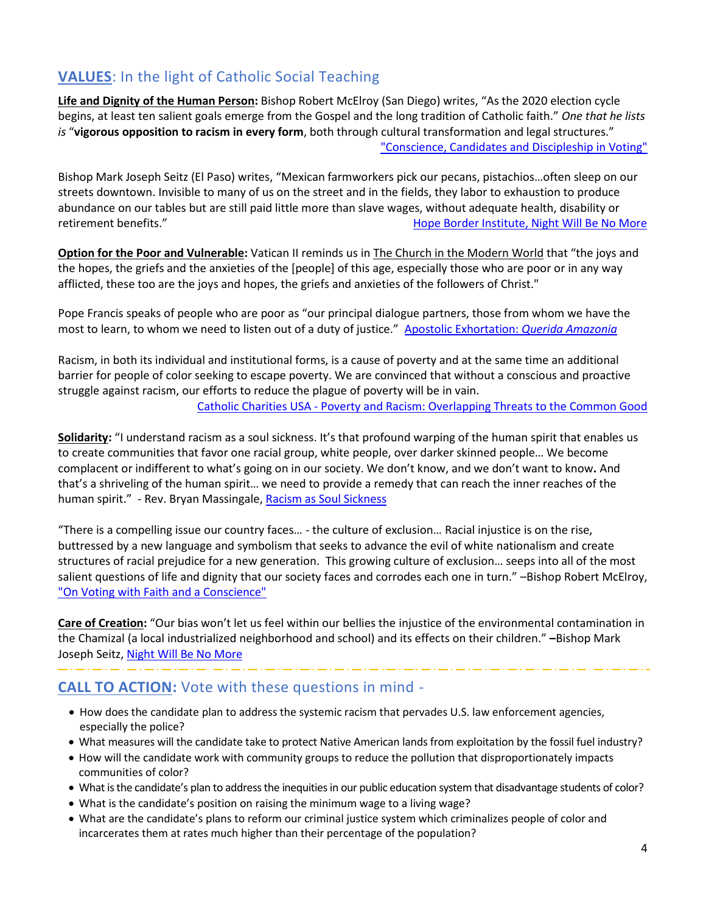# **VALUES**: In the light of Catholic Social Teaching

**Life and Dignity of the Human Person:** Bishop Robert McElroy (San Diego) writes, "As the 2020 election cycle begins, at least ten salient goals emerge from the Gospel and the long tradition of Catholic faith." *One that he lists is* "**vigorous opposition to racism in every form**, both through cultural transformation and legal structures." ["Conscience, Candidates and Discipleship in Voting"](https://www.sdcatholic.org/bishops/bishop-mcelroy/conscience-candidates-and-discipleship-in-voting/)

Bishop Mark Joseph Seitz (El Paso) writes, "Mexican farmworkers pick our pecans, pistachios…often sleep on our streets downtown. Invisible to many of us on the street and in the fields, they labor to exhaustion to produce abundance on our tables but are still paid little more than slave wages, without adequate health, disability or retirement benefits." [Hope Border Institute, Night Will Be No More](https://www.hopeborder.org/nightwillbenomore-eng)

**Option for the Poor and Vulnerable:** Vatican II reminds us in The Church in the Modern World that "the joys and the hopes, the griefs and the anxieties of the [people] of this age, especially those who are poor or in any way afflicted, these too are the joys and hopes, the griefs and anxieties of the followers of Christ."

Pope Francis speaks of people who are poor as "our principal dialogue partners, those from whom we have the most to learn, to whom we need to listen out of a duty of justice." [Apostolic Exhortation:](http://www.vatican.va/content/francesco/en/apost_exhortations/documents/papa-francesco_esortazione-ap_20200202_querida-amazonia.html) *Querida Amazonia*

Racism, in both its individual and institutional forms, is a cause of poverty and at the same time an additional barrier for people of color seeking to escape poverty. We are convinced that without a conscious and proactive struggle against racism, our efforts to reduce the plague of poverty will be in vain.

Catholic Charities USA - [Poverty and Racism: Overlapping Threats to the Common Good](https://www.catholiccharitiesusa.org/wp-content/uploads/2018/04/Policy-Paper-Poverty-and-Racism-1.pdf)

**Solidarity:** "I understand racism as a soul sickness. It's that profound warping of the human spirit that enables us to create communities that favor one racial group, white people, over darker skinned people… We become complacent or indifferent to what's going on in our society. We don't know, and we don't want to know**.** And that's a shriveling of the human spirit… we need to provide a remedy that can reach the inner reaches of the human spirit." - Rev. Bryan Massingale[, Racism as Soul Sickness](https://ignatiansolidarity.net/blog/2017/11/27/racism-as-soul-sickness-interview-with-bryan-massingale/)

"There is a compelling issue our country faces… - the culture of exclusion… Racial injustice is on the rise, buttressed by a new language and symbolism that seeks to advance the evil of white nationalism and create structures of racial prejudice for a new generation. This growing culture of exclusion… seeps into all of the most salient questions of life and dignity that our society faces and corrodes each one in turn." –Bishop Robert McElroy, ["On Voting with Faith and a Conscience"](https://www.ncronline.org/print/news/opinion/bishop-mcelroy-voting-faith-and-conscience)

**Care of Creation:** "Our bias won't let us feel within our bellies the injustice of the environmental contamination in the Chamizal (a local industrialized neighborhood and school) and its effects on their children." **–**Bishop Mark Joseph Seitz, [Night Will Be No More](https://www.hopeborder.org/nightwillbenomore-eng)

# **CALL TO ACTION:** Vote with these questions in mind -

- How does the candidate plan to address the systemic racism that pervades U.S. law enforcement agencies, especially the police?
- What measures will the candidate take to protect Native American lands from exploitation by the fossil fuel industry?
- How will the candidate work with community groups to reduce the pollution that disproportionately impacts communities of color?
- What is the candidate's plan to address the inequities in our public education system that disadvantage students of color?
- What is the candidate's position on raising the minimum wage to a living wage?
- What are the candidate's plans to reform our criminal justice system which criminalizes people of color and incarcerates them at rates much higher than their percentage of the population?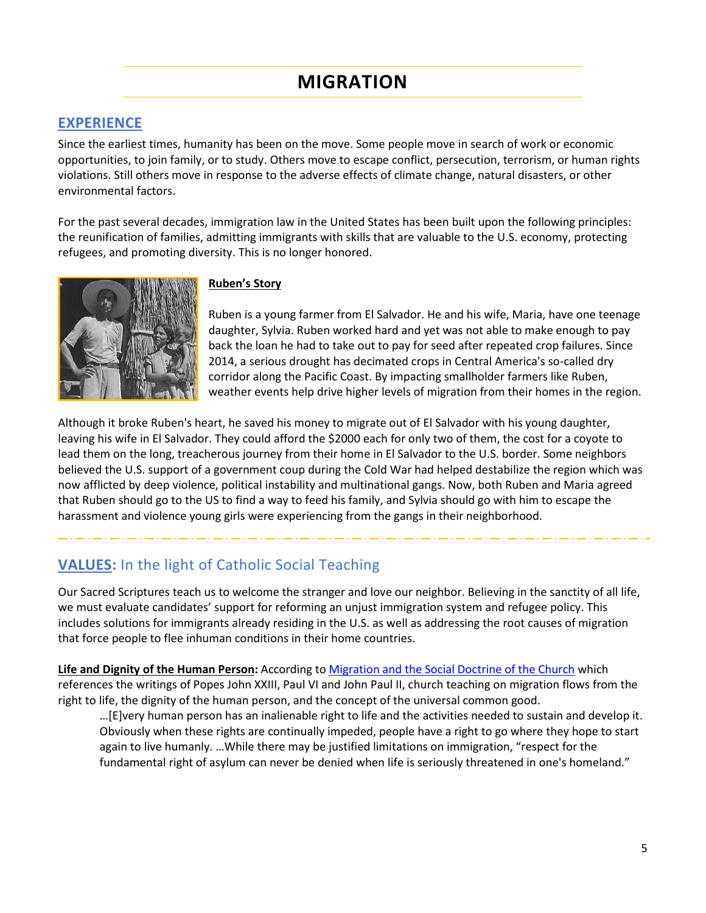# **MIGRATION**

## **EXPERIENCE**

Since the earliest times, humanity has been on the move. Some people move in search of work or economic opportunities, to join family, or to study. Others move to escape conflict, persecution, terrorism, or human rights violations. Still others move in response to the adverse effects of climate change, natural disasters, or other environmental factors.

For the past several decades, immigration law in the United States has been built upon the following principles: the reunification of families, admitting immigrants with skills that are valuable to the U.S. economy, protecting refugees, and promoting diversity. This is no longer honored.



#### **Ruben's Story**

Ruben is a young farmer from El Salvador. He and his wife, Maria, have one teenage daughter, Sylvia. Ruben worked hard and yet was not able to make enough to pay back the loan he had to take out to pay for seed after repeated crop failures. Since 2014, a serious drought has decimated crops in Central America's so-called dry corridor along the Pacific Coast. By impacting smallholder farmers like Ruben, weather events help drive higher levels of migration from their homes in the region.

Although it broke Ruben's heart, he saved his money to migrate out of El Salvador with his young daughter, leaving his wife in El Salvador. They could afford the \$2000 each for only two of them, the cost for a coyote to lead them on the long, treacherous journey from their home in El Salvador to the U.S. border. Some neighbors believed the U.S. support of a government coup during the Cold War had helped destabilize the region which was now afflicted by deep violence, political instability and multinational gangs. Now, both Ruben and Maria agreed that Ruben should go to the US to find a way to feed his family, and Sylvia should go with him to escape the harassment and violence young girls were experiencing from the gangs in their neighborhood.

## **VALUES:** In the light of Catholic Social Teaching

Our Sacred Scriptures teach us to welcome the stranger and love our neighbor. Believing in the sanctity of all life, we must evaluate candidates' support for reforming an unjust immigration system and refugee policy. This includes solutions for immigrants already residing in the U.S. as well as addressing the root causes of migration that force people to flee inhuman conditions in their home countries.

**Life and Dignity of the Human Person:** According to [Migration and the Social Doctrine of the Church](http://www.vatican.va/roman_curia/pontifical_councils/migrants/pom2002_88_90/rc_pc_migrants_pom88-89_blume.htm#_ftnref2) which references the writings of Popes John XXIII, Paul VI and John Paul II, church teaching on migration flows from the right to life, the dignity of the human person, and the concept of the universal common good.

…[E]very human person has an inalienable right to life and the activities needed to sustain and develop it. Obviously when these rights are continually impeded, people have a right to go where they hope to start again to live humanly. …While there may be justified limitations on immigration, "respect for the fundamental right of asylum can never be denied when life is seriously threatened in one's homeland."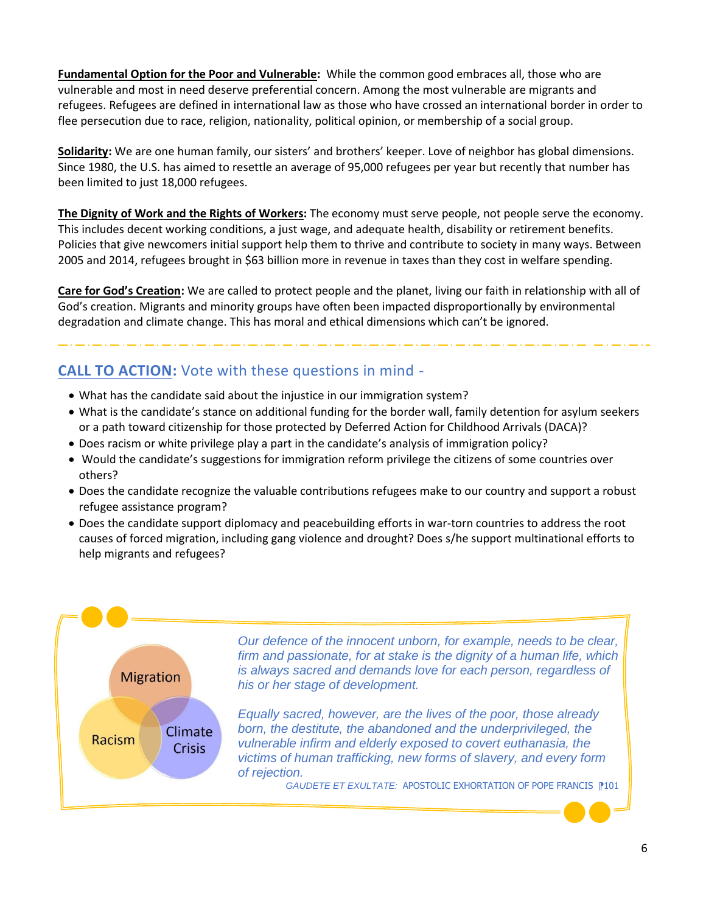**Fundamental Option for the Poor and Vulnerable:** While the common good embraces all, those who are vulnerable and most in need deserve preferential concern. Among the most vulnerable are migrants and refugees. Refugees are defined in international law as those who have crossed an international border in order to flee persecution due to race, religion, nationality, political opinion, or membership of a social group.

**Solidarity:** We are one human family, our sisters' and brothers' keeper. Love of neighbor has global dimensions. Since 1980, the U.S. has aimed to resettle an average of 95,000 refugees per year but recently that number has been limited to just 18,000 refugees.

**The Dignity of Work and the Rights of Workers:** The economy must serve people, not people serve the economy. This includes decent working conditions, a just wage, and adequate health, disability or retirement benefits. Policies that give newcomers initial support help them to thrive and contribute to society in many ways. Between 2005 and 2014, refugees brought in \$63 billion more in revenue in taxes than they cost in welfare spending.

**Care for God's Creation:** We are called to protect people and the planet, living our faith in relationship with all of God's creation. Migrants and minority groups have often been impacted disproportionally by environmental degradation and climate change. This has moral and ethical dimensions which can't be ignored.

# **CALL TO ACTION:** Vote with these questions in mind -

- What has the candidate said about the injustice in our immigration system?
- What is the candidate's stance on additional funding for the border wall, family detention for asylum seekers or a path toward citizenship for those protected by Deferred Action for Childhood Arrivals (DACA)?
- Does racism or white privilege play a part in the candidate's analysis of immigration policy?
- Would the candidate's suggestions for immigration reform privilege the citizens of some countries over others?
- Does the candidate recognize the valuable contributions refugees make to our country and support a robust refugee assistance program?
- Does the candidate support diplomacy and peacebuilding efforts in war-torn countries to address the root causes of forced migration, including gang violence and drought? Does s/he support multinational efforts to help migrants and refugees?

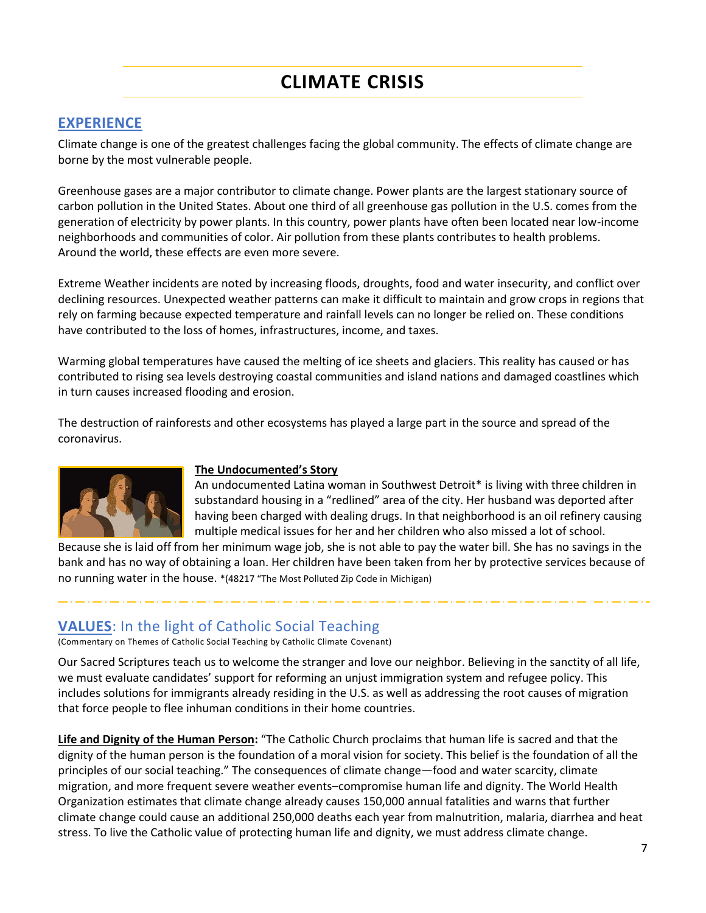# **CLIMATE CRISIS**

## **EXPERIENCE**

Climate change is one of the greatest challenges facing the global community. The effects of climate change are borne by the most vulnerable people.

Greenhouse gases are a major contributor to climate change. Power plants are the largest stationary source of carbon pollution in the United States. About one third of all greenhouse gas pollution in the U.S. comes from the generation of electricity by power plants. In this country, power plants have often been located near low-income neighborhoods and communities of color. Air pollution from these plants contributes to health problems. Around the world, these effects are even more severe.

Extreme Weather incidents are noted by increasing floods, droughts, food and water insecurity, and conflict over declining resources. Unexpected weather patterns can make it difficult to maintain and grow crops in regions that rely on farming because expected temperature and rainfall levels can no longer be relied on. These conditions have contributed to the loss of homes, infrastructures, income, and taxes.

Warming global temperatures have caused the melting of ice sheets and glaciers. This reality has caused or has contributed to rising sea levels destroying coastal communities and island nations and damaged coastlines which in turn causes increased flooding and erosion.

The destruction of rainforests and other ecosystems has played a large part in the source and spread of the coronavirus.



#### **The Undocumented's Story**

An undocumented Latina woman in Southwest Detroit\* is living with three children in substandard housing in a "redlined" area of the city. Her husband was deported after having been charged with dealing drugs. In that neighborhood is an oil refinery causing multiple medical issues for her and her children who also missed a lot of school.

Because she is laid off from her minimum wage job, she is not able to pay the water bill. She has no savings in the bank and has no way of obtaining a loan. Her children have been taken from her by protective services because of no running water in the house. \*(48217 "The Most Polluted Zip Code in Michigan)

## **VALUES**: In the light of Catholic Social Teaching

(Commentary on Themes of Catholic Social Teaching by Catholic Climate Covenant)

Our Sacred Scriptures teach us to welcome the stranger and love our neighbor. Believing in the sanctity of all life, we must evaluate candidates' support for reforming an unjust immigration system and refugee policy. This includes solutions for immigrants already residing in the U.S. as well as addressing the root causes of migration that force people to flee inhuman conditions in their home countries.

**Life and Dignity of the Human Person:** "The Catholic Church proclaims that human life is sacred and that the dignity of the human person is the foundation of a moral vision for society. This belief is the foundation of all the principles of our social teaching." The consequences of climate change—food and water scarcity, climate migration, and more frequent severe weather events–compromise human life and dignity. The World Health Organization estimates that climate change already causes 150,000 annual fatalities and warns that further climate change could cause an additional 250,000 deaths each year from malnutrition, malaria, diarrhea and heat stress. To live the Catholic value of protecting human life and dignity, we must address climate change.